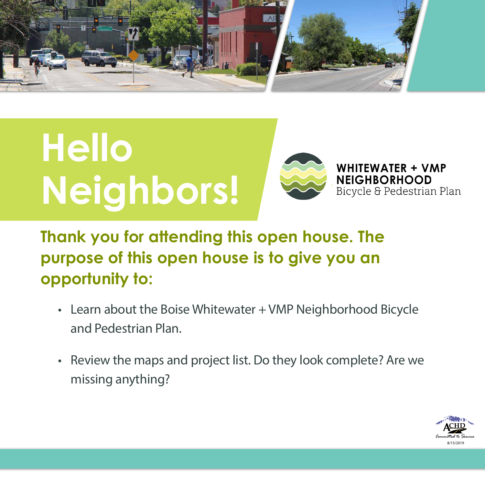#### **Thank you for attending this open house. The purpose of this open house is to give you an opportunity to:**

- Learn about the Boise Whitewater + VMP Neighborhood Bicycle and Pedestrian Plan.
- Review the maps and project list. Do they look complete? Are we missing anything?



# **Hello Neighbors!**



**WHITEWATER + VMP NEIGHBORHOOD** Bicycle & Pedestrian Plan

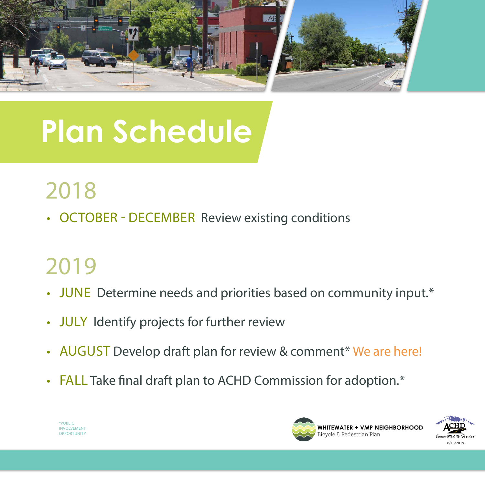

• OCTOBER - DECEMBER Review existing conditions

\*PUBLIC **INVOLVEMENT OPPORTUNITY** 



### 2019

- JUNE Determine needs and priorities based on community input.\*
- JULY Identify projects for further review
- AUGUST Develop draft plan for review & comment\* We are here!
- FALL Take final draft plan to ACHD Commission for adoption.\*



## **Plan Schedule**

## 2018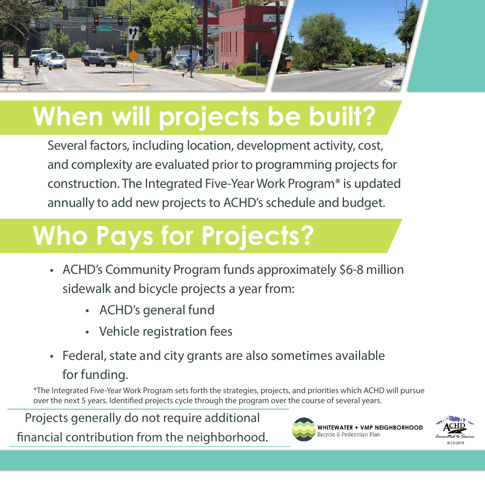

## **Who Pays for Projects?**

- ACHD's Community Program funds approximately \$6-8 million sidewalk and bicycle projects a year from:
	- ACHD's general fund
	- Vehicle registration fees
- Federal, state and city grants are also sometimes available for funding.



## **When will projects be built?**

Several factors, including location, development activity, cost, and complexity are evaluated prior to programming projects for construction. The Integrated Five-Year Work Program\* is updated annually to add new projects to ACHD's schedule and budget.

Projects generally do not require additional financial contribution from the neighborhood.



\*The Integrated Five-Year Work Program sets forth the strategies, projects, and priorities which ACHD will pursue over the next 5 years. Identified projects cycle through the program over the course of several years.